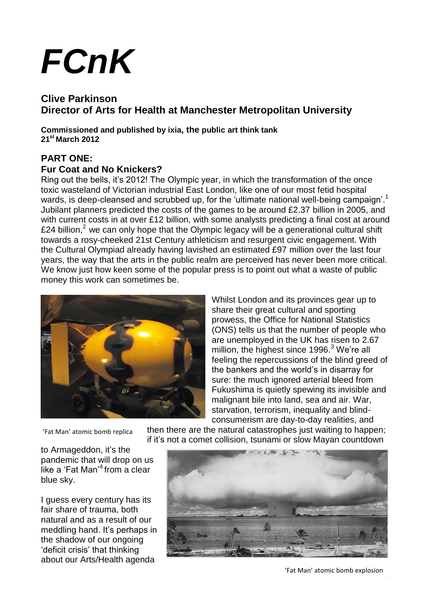# *FCnK*

# **Clive Parkinson Director of Arts for Health at Manchester Metropolitan University**

**Commissioned and published by ixia, the public art think tank 21st March 2012**

# **PART ONE:**

## **Fur Coat and No Knickers?**

Ring out the bells, it's 2012! The Olympic year, in which the transformation of the once toxic wasteland of Victorian industrial East London, like one of our most fetid hospital wards, is deep-cleansed and scrubbed up, for the 'ultimate national well-being campaign'.<sup>1</sup> Jubilant planners predicted the costs of the games to be around £2.37 billion in 2005, and with current costs in at over £12 billion, with some analysts predicting a final cost at around £24 billion,<sup>2</sup> we can only hope that the Olympic legacy will be a generational cultural shift towards a rosy-cheeked 21st Century athleticism and resurgent civic engagement. With the Cultural Olympiad already having lavished an estimated £97 million over the last four years, the way that the arts in the public realm are perceived has never been more critical. We know just how keen some of the popular press is to point out what a waste of public money this work can sometimes be.



Whilst London and its provinces gear up to share their great cultural and sporting prowess, the Office for National Statistics (ONS) tells us that the number of people who are unemployed in the UK has risen to 2.67 million, the highest since  $1996.<sup>3</sup>$  We're all feeling the repercussions of the blind greed of the bankers and the world's in disarray for sure: the much ignored arterial bleed from Fukushima is quietly spewing its invisible and malignant bile into land, sea and air. War, starvation, terrorism, inequality and blindconsumerism are day-to-day realities, and

'Fat Man' atomic bomb replica

to Armageddon, it's the pandemic that will drop on us like a 'Fat Man'<sup>4</sup> from a clear blue sky.

I guess every century has its fair share of trauma, both natural and as a result of our meddling hand. It's perhaps in the shadow of our ongoing 'deficit crisis' that thinking about our Arts/Health agenda

then there are the natural catastrophes just waiting to happen; if it's not a comet collision, tsunami or slow Mayan countdown



'Fat Man' atomic bomb explosion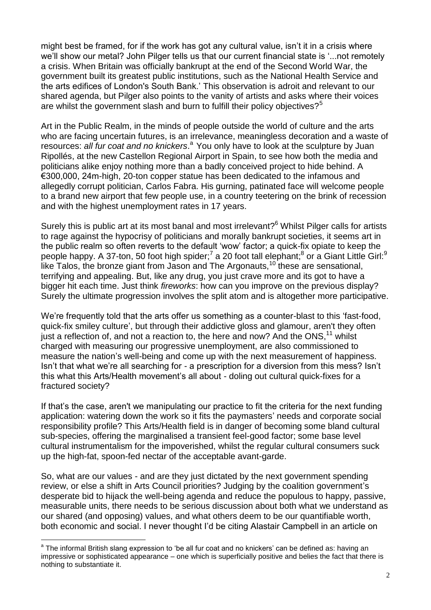might best be framed, for if the work has got any cultural value, isn't it in a crisis where we'll show our metal? John Pilger tells us that our current financial state is '...not remotely a crisis. When Britain was officially bankrupt at the end of the Second World War, the government built its greatest public institutions, such as the National Health Service and the arts edifices of London's South Bank.' This observation is adroit and relevant to our shared agenda, but Pilger also points to the vanity of artists and asks where their voices are whilst the government slash and burn to fulfill their policy objectives? $5^{\circ}$ 

Art in the Public Realm, in the minds of people outside the world of culture and the arts who are facing uncertain futures, is an irrelevance, meaningless decoration and a waste of resources: all fur coat and no knickers.<sup>a</sup> You only have to look at the sculpture by Juan Ripollés, at the new Castellon Regional Airport in Spain, to see how both the media and politicians alike enjoy nothing more than a badly conceived project to hide behind. A €300,000, 24m-high, 20-ton copper statue has been dedicated to the infamous and allegedly corrupt politician, Carlos Fabra. His gurning, patinated face will welcome people to a brand new airport that few people use, in a country teetering on the brink of recession and with the highest unemployment rates in 17 years.

Surely this is public art at its most banal and most irrelevant?<sup>6</sup> Whilst Pilger calls for artists to rage against the hypocrisy of politicians and morally bankrupt societies, it seems art in the public realm so often reverts to the default 'wow' factor; a quick-fix opiate to keep the people happy. A 37-ton, 50 foot high spider;<sup>7</sup> a 20 foot tall elephant;<sup>8</sup> or a Giant Little Girl:<sup>9</sup> like Talos, the bronze giant from Jason and The Argonauts,<sup>10</sup> these are sensational, terrifying and appealing. But, like any drug, you just crave more and its got to have a bigger hit each time. Just think *fireworks*: how can you improve on the previous display? Surely the ultimate progression involves the split atom and is altogether more participative.

We're frequently told that the arts offer us something as a counter-blast to this 'fast-food, quick-fix smiley culture', but through their addictive gloss and glamour, aren't they often just a reflection of, and not a reaction to, the here and now? And the  $ONS<sub>11</sub><sup>11</sup>$  whilst charged with measuring our progressive unemployment, are also commissioned to measure the nation's well-being and come up with the next measurement of happiness. Isn't that what we're all searching for - a prescription for a diversion from this mess? Isn't this what this Arts/Health movement's all about - doling out cultural quick-fixes for a fractured society?

If that's the case, aren't we manipulating our practice to fit the criteria for the next funding application: watering down the work so it fits the paymasters' needs and corporate social responsibility profile? This Arts/Health field is in danger of becoming some bland cultural sub-species, offering the marginalised a transient feel-good factor; some base level cultural instrumentalism for the impoverished, whilst the regular cultural consumers suck up the high-fat, spoon-fed nectar of the acceptable avant-garde.

So, what are our values - and are they just dictated by the next government spending review, or else a shift in Arts Council priorities? Judging by the coalition government's desperate bid to hijack the well-being agenda and reduce the populous to happy, passive, measurable units, there needs to be serious discussion about both what we understand as our shared (and opposing) values, and what others deem to be our quantifiable worth, both economic and social. I never thought I'd be citing Alastair Campbell in an article on

 $\overline{a}$ 

<sup>&</sup>lt;sup>a</sup> The informal British slang expression to 'be all fur coat and no knickers' can be defined as: having an impressive or sophisticated appearance – one which is superficially positive and belies the fact that there is nothing to substantiate it.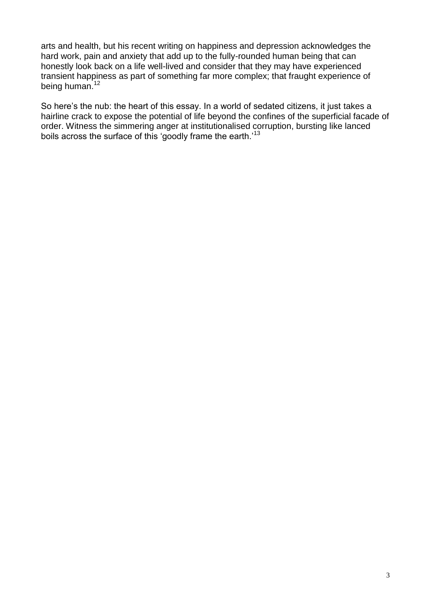arts and health, but his recent writing on happiness and depression acknowledges the hard work, pain and anxiety that add up to the fully-rounded human being that can honestly look back on a life well-lived and consider that they may have experienced transient happiness as part of something far more complex; that fraught experience of being human.<sup>12</sup>

So here's the nub: the heart of this essay. In a world of sedated citizens, it just takes a hairline crack to expose the potential of life beyond the confines of the superficial facade of order. Witness the simmering anger at institutionalised corruption, bursting like lanced boils across the surface of this 'goodly frame the earth.'<sup>13</sup>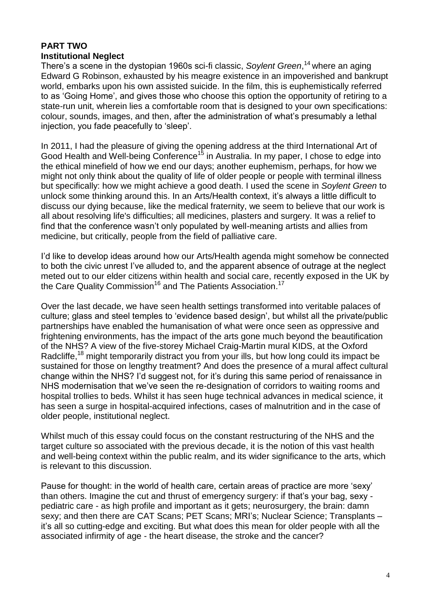#### **PART TWO Institutional Neglect**

There's a scene in the dystopian 1960s sci-fi classic, *Soylent Green*, <sup>14</sup>where an aging Edward G Robinson, exhausted by his meagre existence in an impoverished and bankrupt world, embarks upon his own assisted suicide. In the film, this is euphemistically referred to as 'Going Home', and gives those who choose this option the opportunity of retiring to a state-run unit, wherein lies a comfortable room that is designed to your own specifications: colour, sounds, images, and then, after the administration of what's presumably a lethal injection, you fade peacefully to 'sleep'.

In 2011, I had the pleasure of giving the opening address at the third International Art of Good Health and Well-being Conference<sup>15</sup> in Australia. In my paper, I chose to edge into the ethical minefield of how we end our days; another euphemism, perhaps, for how we might not only think about the quality of life of older people or people with terminal illness but specifically: how we might achieve a good death. I used the scene in *Soylent Green* to unlock some thinking around this. In an Arts/Health context, it's always a little difficult to discuss our dying because, like the medical fraternity, we seem to believe that our work is all about resolving life's difficulties; all medicines, plasters and surgery. It was a relief to find that the conference wasn't only populated by well-meaning artists and allies from medicine, but critically, people from the field of palliative care.

I'd like to develop ideas around how our Arts/Health agenda might somehow be connected to both the civic unrest I've alluded to, and the apparent absence of outrage at the neglect meted out to our elder citizens within health and social care, recently exposed in the UK by the Care Quality Commission<sup>16</sup> and The Patients Association.<sup>17</sup>

Over the last decade, we have seen health settings transformed into veritable palaces of culture; glass and steel temples to 'evidence based design', but whilst all the private/public partnerships have enabled the humanisation of what were once seen as oppressive and frightening environments, has the impact of the arts gone much beyond the beautification of the NHS? A view of the five-storey Michael Craig-Martin mural KIDS, at the Oxford Radcliffe,<sup>18</sup> might temporarily distract you from your ills, but how long could its impact be sustained for those on lengthy treatment? And does the presence of a mural affect cultural change within the NHS? I'd suggest not, for it's during this same period of renaissance in NHS modernisation that we've seen the re-designation of corridors to waiting rooms and hospital trollies to beds. Whilst it has seen huge technical advances in medical science, it has seen a surge in hospital-acquired infections, cases of malnutrition and in the case of older people, institutional neglect.

Whilst much of this essay could focus on the constant restructuring of the NHS and the target culture so associated with the previous decade, it is the notion of this vast health and well-being context within the public realm, and its wider significance to the arts, which is relevant to this discussion.

Pause for thought: in the world of health care, certain areas of practice are more 'sexy' than others. Imagine the cut and thrust of emergency surgery: if that's your bag, sexy pediatric care - as high profile and important as it gets; neurosurgery, the brain: damn sexy; and then there are CAT Scans; PET Scans; MRI's; Nuclear Science; Transplants – it's all so cutting-edge and exciting. But what does this mean for older people with all the associated infirmity of age - the heart disease, the stroke and the cancer?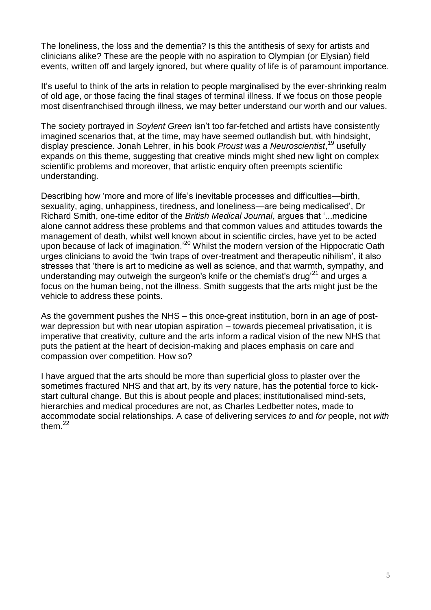The loneliness, the loss and the dementia? Is this the antithesis of sexy for artists and clinicians alike? These are the people with no aspiration to Olympian (or Elysian) field events, written off and largely ignored, but where quality of life is of paramount importance.

It's useful to think of the arts in relation to people marginalised by the ever-shrinking realm of old age, or those facing the final stages of terminal illness. If we focus on those people most disenfranchised through illness, we may better understand our worth and our values.

The society portrayed in *Soylent Green* isn't too far-fetched and artists have consistently imagined scenarios that, at the time, may have seemed outlandish but, with hindsight, display prescience. Jonah Lehrer, in his book *Proust was a Neuroscientist*, <sup>19</sup> usefully expands on this theme, suggesting that creative minds might shed new light on complex scientific problems and moreover, that artistic enquiry often preempts scientific understanding.

Describing how 'more and more of life's inevitable processes and difficulties—birth, sexuality, aging, unhappiness, tiredness, and loneliness—are being medicalised', Dr Richard Smith, one-time editor of the *British Medical Journal*, argues that '...medicine alone cannot address these problems and that common values and attitudes towards the management of death, whilst well known about in scientific circles, have yet to be acted upon because of lack of imagination.<sup>'20</sup> Whilst the modern version of the Hippocratic Oath urges clinicians to avoid the 'twin traps of over-treatment and therapeutic nihilism', it also stresses that 'there is art to medicine as well as science, and that warmth, sympathy, and understanding may outweigh the surgeon's knife or the chemist's drug<sup>21</sup> and urges a focus on the human being, not the illness. Smith suggests that the arts might just be the vehicle to address these points.

As the government pushes the NHS – this once-great institution, born in an age of postwar depression but with near utopian aspiration – towards piecemeal privatisation, it is imperative that creativity, culture and the arts inform a radical vision of the new NHS that puts the patient at the heart of decision-making and places emphasis on care and compassion over competition. How so?

I have argued that the arts should be more than superficial gloss to plaster over the sometimes fractured NHS and that art, by its very nature, has the potential force to kickstart cultural change. But this is about people and places; institutionalised mind-sets, hierarchies and medical procedures are not, as Charles Ledbetter notes, made to accommodate social relationships. A case of delivering services *to* and *for* people, not *with* them. $^{22}$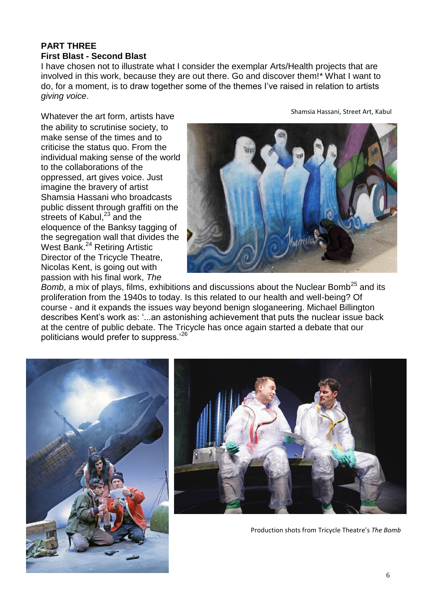#### **PART THREE First Blast - Second Blast**

I have chosen not to illustrate what I consider the exemplar Arts/Health projects that are involved in this work, because they are out there. Go and discover them!\* What I want to do, for a moment, is to draw together some of the themes I've raised in relation to artists *giving voice*.

Whatever the art form, artists have the ability to scrutinise society, to make sense of the times and to criticise the status quo. From the individual making sense of the world to the collaborations of the oppressed, art gives voice. Just imagine the bravery of artist Shamsia Hassani who broadcasts public dissent through graffiti on the streets of Kabul, $23$  and the eloquence of the Banksy tagging of the segregation wall that divides the West Bank. <sup>24</sup> Retiring Artistic Director of the Tricycle Theatre, Nicolas Kent, is going out with passion with his final work, *The* 



*Bomb*, a mix of plays, films, exhibitions and discussions about the Nuclear Bomb<sup>25</sup> and its proliferation from the 1940s to today. Is this related to our health and well-being? Of course - and it expands the issues way beyond benign sloganeering. Michael Billington describes Kent's work as: '...an astonishing achievement that puts the nuclear issue back at the centre of public debate. The Tricycle has once again started a debate that our politicians would prefer to suppress.'<sup>26</sup>





Production shots from Tricycle Theatre's *The Bomb*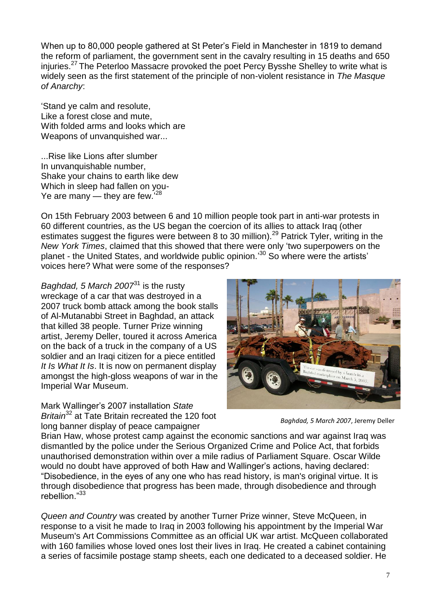When up to 80,000 people gathered at St Peter's Field in Manchester in 1819 to demand the reform of parliament, the government sent in the cavalry resulting in 15 deaths and 650 injuries.<sup>27</sup> The Peterloo Massacre provoked the poet Percy Bysshe Shelley to write what is widely seen as the first statement of the principle of non-violent resistance in *The Masque of Anarchy*:

'Stand ye calm and resolute, Like a forest close and mute, With folded arms and looks which are Weapons of unvanquished war...

...Rise like Lions after slumber In unvanquishable number, Shake your chains to earth like dew Which in sleep had fallen on you-Ye are many — they are few.'<sup>28</sup>

On 15th February 2003 between 6 and 10 million people took part in anti-war protests in 60 different countries, as the US began the coercion of its allies to attack Iraq (other estimates suggest the figures were between 8 to 30 million).<sup>29</sup> Patrick Tyler, writing in the *New York Times*, claimed that this showed that there were only 'two superpowers on the planet - the United States, and worldwide public opinion.'<sup>30</sup> So where were the artists' voices here? What were some of the responses?

*Baghdad, 5 March 2007*<sup>31</sup> is the rusty wreckage of a car that was destroyed in a 2007 truck bomb attack among the book stalls of Al-Mutanabbi Street in Baghdad, an attack that killed 38 people. Turner Prize winning artist, Jeremy Deller, toured it across America on the back of a truck in the company of a US soldier and an Iraqi citizen for a piece entitled *It Is What It Is*. It is now on permanent display amongst the high-gloss weapons of war in the Imperial War Museum.

Mark Wallinger's 2007 installation *State Britain*<sup>32</sup> at Tate Britain recreated the 120 foot long banner display of peace campaigner



*Baghdad, 5 March 2007*, Jeremy Deller

Brian Haw, whose protest camp against the economic sanctions and war against Iraq was dismantled by the police under the Serious Organized Crime and Police Act, that forbids unauthorised demonstration within over a mile radius of Parliament Square. Oscar Wilde would no doubt have approved of both Haw and Wallinger's actions, having declared: "Disobedience, in the eyes of any one who has read history, is man's original virtue. It is through disobedience that progress has been made, through disobedience and through rebellion."<sup>33</sup>

*Queen and Country* was created by another Turner Prize winner, Steve McQueen, in response to a visit he made to Iraq in 2003 following his appointment by the Imperial War Museum's Art Commissions Committee as an official UK war artist. McQueen collaborated with 160 families whose loved ones lost their lives in Iraq. He created a cabinet containing a series of facsimile postage stamp sheets, each one dedicated to a deceased soldier. He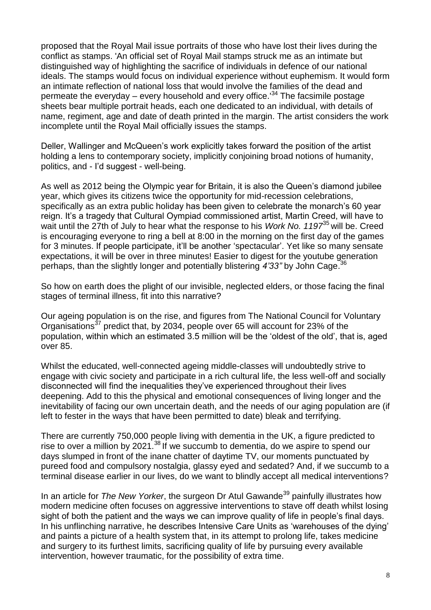proposed that the Royal Mail issue portraits of those who have lost their lives during the conflict as stamps. 'An official set of Royal Mail stamps struck me as an intimate but distinguished way of highlighting the sacrifice of individuals in defence of our national ideals. The stamps would focus on individual experience without euphemism. It would form an intimate reflection of national loss that would involve the families of the dead and permeate the everyday – every household and every office.<sup>34</sup> The facsimile postage sheets bear multiple portrait heads, each one dedicated to an individual, with details of name, regiment, age and date of death printed in the margin. The artist considers the work incomplete until the Royal Mail officially issues the stamps.

Deller, Wallinger and McQueen's work explicitly takes forward the position of the artist holding a lens to contemporary society, implicitly conjoining broad notions of humanity, politics, and - I'd suggest - well-being.

As well as 2012 being the Olympic year for Britain, it is also the Queen's diamond jubilee year, which gives its citizens twice the opportunity for mid-recession celebrations, specifically as an extra public holiday has been given to celebrate the monarch's 60 year reign. It's a tragedy that Cultural Oympiad commissioned artist, Martin Creed, will have to wait until the 27th of July to hear what the response to his *Work No. 1197*<sup>35</sup> will be. Creed is encouraging everyone to ring a bell at 8:00 in the morning on the first day of the games for 3 minutes. If people participate, it'll be another 'spectacular'. Yet like so many sensate expectations, it will be over in three minutes! Easier to digest for the youtube generation perhaps, than the slightly longer and potentially blistering *4'33"* by John Cage. 36

So how on earth does the plight of our invisible, neglected elders, or those facing the final stages of terminal illness, fit into this narrative?

Our ageing population is on the rise, and figures from The National Council for Voluntary Organisations<sup>37</sup> predict that, by 2034, people over 65 will account for 23% of the population, within which an estimated 3.5 million will be the 'oldest of the old', that is, aged over 85.

Whilst the educated, well-connected ageing middle-classes will undoubtedly strive to engage with civic society and participate in a rich cultural life, the less well-off and socially disconnected will find the inequalities they've experienced throughout their lives deepening. Add to this the physical and emotional consequences of living longer and the inevitability of facing our own uncertain death, and the needs of our aging population are (if left to fester in the ways that have been permitted to date) bleak and terrifying.

There are currently 750,000 people living with dementia in the UK, a figure predicted to rise to over a million by 2021.<sup>38</sup> If we succumb to dementia, do we aspire to spend our days slumped in front of the inane chatter of daytime TV, our moments punctuated by pureed food and compulsory nostalgia, glassy eyed and sedated? And, if we succumb to a terminal disease earlier in our lives, do we want to blindly accept all medical interventions?

In an article for *The New Yorker*, the surgeon Dr Atul Gawande<sup>39</sup> painfully illustrates how modern medicine often focuses on aggressive interventions to stave off death whilst losing sight of both the patient and the ways we can improve quality of life in people's final days. In his unflinching narrative, he describes Intensive Care Units as 'warehouses of the dying' and paints a picture of a health system that, in its attempt to prolong life, takes medicine and surgery to its furthest limits, sacrificing quality of life by pursuing every available intervention, however traumatic, for the possibility of extra time.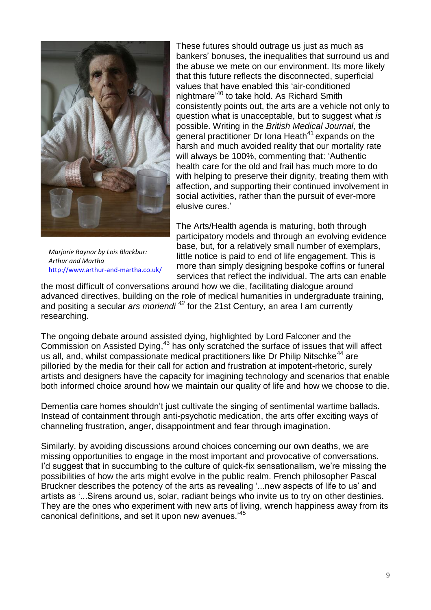

*Marjorie Raynor by Lois Blackbur: Arthur and Martha* <http://www.arthur-and-martha.co.uk/>

These futures should outrage us just as much as bankers' bonuses, the inequalities that surround us and the abuse we mete on our environment. Its more likely that this future reflects the disconnected, superficial values that have enabled this 'air-conditioned nightmare<sup>'40</sup> to take hold. As Richard Smith consistently points out, the arts are a vehicle not only to question what is unacceptable, but to suggest what *is* possible. Writing in the *British Medical Journal,* the general practitioner Dr Iona Heath<sup>41</sup> expands on the harsh and much avoided reality that our mortality rate will always be 100%, commenting that: 'Authentic health care for the old and frail has much more to do with helping to preserve their dignity, treating them with affection, and supporting their continued involvement in social activities, rather than the pursuit of ever-more elusive cures.'

The Arts/Health agenda is maturing, both through participatory models and through an evolving evidence base, but, for a relatively small number of exemplars, little notice is paid to end of life engagement. This is more than simply designing bespoke coffins or funeral services that reflect the individual. The arts can enable

the most difficult of conversations around how we die, facilitating dialogue around advanced directives, building on the role of medical humanities in undergraduate training, and positing a secular *ars moriendi <sup>42</sup>* for the 21st Century, an area I am currently researching.

The ongoing debate around assisted dying, highlighted by Lord Falconer and the Commission on Assisted Dying,<sup>43</sup> has only scratched the surface of issues that will affect us all, and, whilst compassionate medical practitioners like Dr Philip Nitschke<sup>44</sup> are pilloried by the media for their call for action and frustration at impotent-rhetoric, surely artists and designers have the capacity for imagining technology and scenarios that enable both informed choice around how we maintain our quality of life and how we choose to die.

Dementia care homes shouldn't just cultivate the singing of sentimental wartime ballads. Instead of containment through anti-psychotic medication, the arts offer exciting ways of channeling frustration, anger, disappointment and fear through imagination.

Similarly, by avoiding discussions around choices concerning our own deaths, we are missing opportunities to engage in the most important and provocative of conversations. I'd suggest that in succumbing to the culture of quick-fix sensationalism, we're missing the possibilities of how the arts might evolve in the public realm. French philosopher Pascal Bruckner describes the potency of the arts as revealing '...new aspects of life to us' and artists as '...Sirens around us, solar, radiant beings who invite us to try on other destinies. They are the ones who experiment with new arts of living, wrench happiness away from its canonical definitions, and set it upon new avenues.'<sup>45</sup>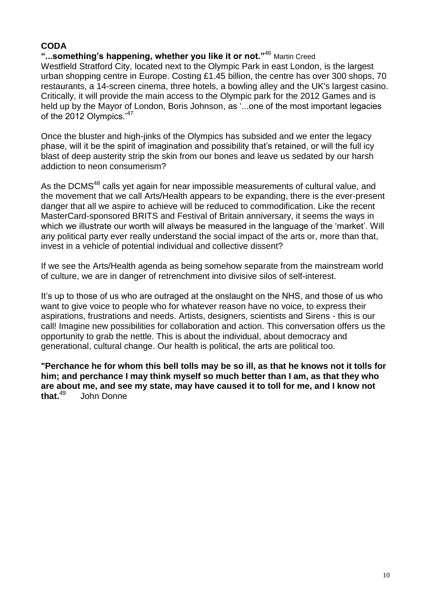#### **CODA**

## **"...something's happening, whether you like it or not."**<sup>46</sup> Martin Creed

Westfield Stratford City, located next to the Olympic Park in east London, is the largest urban shopping centre in Europe. Costing £1.45 billion, the centre has over 300 shops, 70 restaurants, a 14-screen cinema, three hotels, a bowling alley and the UK's largest casino. Critically, it will provide the main access to the Olympic park for the 2012 Games and is held up by the Mayor of London, Boris Johnson, as '...one of the most important legacies of the 2012 Olympics.<sup>47</sup>

Once the bluster and high-jinks of the Olympics has subsided and we enter the legacy phase, will it be the spirit of imagination and possibility that's retained, or will the full icy blast of deep austerity strip the skin from our bones and leave us sedated by our harsh addiction to neon consumerism?

As the DCMS<sup>48</sup> calls yet again for near impossible measurements of cultural value, and the movement that we call Arts/Health appears to be expanding, there is the ever-present danger that all we aspire to achieve will be reduced to commodification. Like the recent MasterCard-sponsored BRITS and Festival of Britain anniversary, it seems the ways in which we illustrate our worth will always be measured in the language of the 'market'. Will any political party ever really understand the social impact of the arts or, more than that, invest in a vehicle of potential individual and collective dissent?

If we see the Arts/Health agenda as being somehow separate from the mainstream world of culture, we are in danger of retrenchment into divisive silos of self-interest.

It's up to those of us who are outraged at the onslaught on the NHS, and those of us who want to give voice to people who for whatever reason have no voice, to express their aspirations, frustrations and needs. Artists, designers, scientists and Sirens - this is our call! Imagine new possibilities for collaboration and action. This conversation offers us the opportunity to grab the nettle. This is about the individual, about democracy and generational, cultural change. Our health is political, the arts are political too.

**"Perchance he for whom this bell tolls may be so ill, as that he knows not it tolls for him; and perchance I may think myself so much better than I am, as that they who are about me, and see my state, may have caused it to toll for me, and I know not that.**<sup>49</sup> John Donne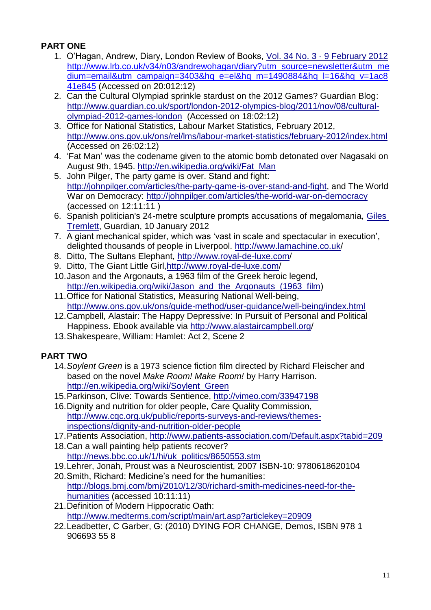## **PART ONE**

- 1. O'Hagan, Andrew, Diary, London Review of Books, [Vol. 34 No. 3 · 9 February 2012](http://www.lrb.co.uk/v34/n03/contents) [http://www.lrb.co.uk/v34/n03/andrewohagan/diary?utm\\_source=newsletter&utm\\_me](http://www.lrb.co.uk/v34/n03/andrewohagan/diary?utm_source=newsletter&utm_medium=email&utm_campaign=3403&hq_e=el&hq_m=1490884&hq_l=16&hq_v=1ac841e845) [dium=email&utm\\_campaign=3403&hq\\_e=el&hq\\_m=1490884&hq\\_l=16&hq\\_v=1ac8](http://www.lrb.co.uk/v34/n03/andrewohagan/diary?utm_source=newsletter&utm_medium=email&utm_campaign=3403&hq_e=el&hq_m=1490884&hq_l=16&hq_v=1ac841e845) [41e845](http://www.lrb.co.uk/v34/n03/andrewohagan/diary?utm_source=newsletter&utm_medium=email&utm_campaign=3403&hq_e=el&hq_m=1490884&hq_l=16&hq_v=1ac841e845) (Accessed on 20:012:12)
- 2. Can the Cultural Olympiad sprinkle stardust on the 2012 Games? Guardian Blog: [http://www.guardian.co.uk/sport/london-2012-olympics-blog/2011/nov/08/cultural](http://www.guardian.co.uk/sport/london-2012-olympics-blog/2011/nov/08/cultural-olympiad-2012-games-london)[olympiad-2012-games-london](http://www.guardian.co.uk/sport/london-2012-olympics-blog/2011/nov/08/cultural-olympiad-2012-games-london) (Accessed on 18:02:12)
- 3. Office for National Statistics, Labour Market Statistics, February 2012, <http://www.ons.gov.uk/ons/rel/lms/labour-market-statistics/february-2012/index.html> (Accessed on 26:02:12)
- 4. 'Fat Man' was the codename given to the atomic bomb detonated over Nagasaki on August 9th, 1945. [http://en.wikipedia.org/wiki/Fat\\_Man](http://en.wikipedia.org/wiki/Fat_Man)
- 5. John Pilger, The party game is over. Stand and fight: [http://johnpilger.com/articles/the-party-game-is-over-stand-and-fight,](http://johnpilger.com/articles/the-party-game-is-over-stand-and-fight) and The World War on Democracy: <http://johnpilger.com/articles/the-world-war-on-democracy> (accessed on 12:11:11 )
- 6. Spanish politician's 24-metre sculpture prompts accusations of megalomania, [Giles](http://www.guardian.co.uk/profile/gilestremlett)  [Tremlett,](http://www.guardian.co.uk/profile/gilestremlett) Guardian, 10 January 2012
- 7. A giant mechanical spider, which was 'vast in scale and spectacular in execution', delighted thousands of people in Liverpool.<http://www.lamachine.co.uk/>
- 8. Ditto, The Sultans Elephant,<http://www.royal-de-luxe.com/>
- 9. Ditto, The Giant Little Girl[,http://www.royal-de-luxe.com/](http://www.royal-de-luxe.com/)
- 10.Jason and the Argonauts, a 1963 film of the Greek heroic legend, [http://en.wikipedia.org/wiki/Jason\\_and\\_the\\_Argonauts\\_\(1963\\_film\)](http://en.wikipedia.org/wiki/Jason_and_the_Argonauts_(1963_film)
- 11.Office for National Statistics, Measuring National Well-being, <http://www.ons.gov.uk/ons/guide-method/user-guidance/well-being/index.html>
- 12.Campbell, Alastair: The Happy Depressive: In Pursuit of Personal and Political Happiness. Ebook available via<http://www.alastaircampbell.org/>
- 13.Shakespeare, William: Hamlet: Act 2, Scene 2

## **PART TWO**

- 14.*Soylent Green* is a 1973 science fiction film directed by Richard Fleischer and based on the novel *Make Room! Make Room!* by Harry Harrison. [http://en.wikipedia.org/wiki/Soylent\\_Green](http://en.wikipedia.org/wiki/Soylent_Green)
- 15.Parkinson, Clive: Towards Sentience,<http://vimeo.com/33947198>
- 16.Dignity and nutrition for older people, Care Quality Commission, [http://www.cqc.org.uk/public/reports-surveys-and-reviews/themes](http://www.cqc.org.uk/public/reports-surveys-and-reviews/themes-inspections/dignity-and-nutrition-older-people)[inspections/dignity-and-nutrition-older-people](http://www.cqc.org.uk/public/reports-surveys-and-reviews/themes-inspections/dignity-and-nutrition-older-people)
- 17.Patients Association,<http://www.patients-association.com/Default.aspx?tabid=209>
- 18.Can a wall painting help patients recover? [http://news.bbc.co.uk/1/hi/uk\\_politics/8650553.stm](http://news.bbc.co.uk/1/hi/uk_politics/8650553.stm)
- 19.Lehrer, Jonah, Proust was a Neuroscientist, 2007 ISBN-10: 9780618620104
- 20.Smith, Richard: Medicine's need for the humanities: [http://blogs.bmj.com/bmj/2010/12/30/richard-smith-medicines-need-for-the](http://blogs.bmj.com/bmj/2010/12/30/richard-smith-medicines-need-for-the-humanities)[humanities](http://blogs.bmj.com/bmj/2010/12/30/richard-smith-medicines-need-for-the-humanities) (accessed 10:11:11)
- 21.Definition of Modern Hippocratic Oath: <http://www.medterms.com/script/main/art.asp?articlekey=20909>
- 22.Leadbetter, C Garber, G: (2010) DYING FOR CHANGE, Demos, ISBN 978 1 906693 55 8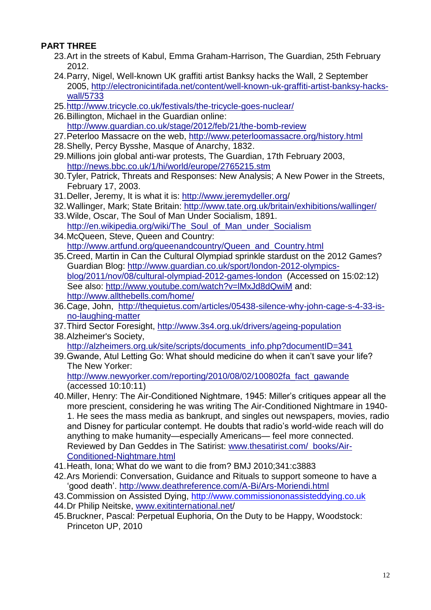## **PART THREE**

- 23.Art in the streets of Kabul, Emma Graham-Harrison, The Guardian, 25th February 2012.
- 24.Parry, Nigel, Well-known UK graffiti artist Banksy hacks the Wall, 2 September 2005, [http://electronicintifada.net/content/well-known-uk-graffiti-artist-banksy-hacks](http://electronicintifada.net/content/well-known-uk-graffiti-artist-banksy-hacks-wall/5733)[wall/5733](http://electronicintifada.net/content/well-known-uk-graffiti-artist-banksy-hacks-wall/5733)
- 25[.http://www.tricycle.co.uk/festivals/the-tricycle-goes-nuclear/](http://www.tricycle.co.uk/festivals/the-tricycle-goes-nuclear/)
- 26.Billington, Michael in the Guardian online: <http://www.guardian.co.uk/stage/2012/feb/21/the-bomb-review>
- 27.Peterloo Massacre on the web,<http://www.peterloomassacre.org/history.html>
- 28.Shelly, Percy Bysshe, Masque of Anarchy, 1832.
- 29.Millions join global anti-war protests, The Guardian, 17th February 2003, <http://news.bbc.co.uk/1/hi/world/europe/2765215.stm>
- 30.Tyler, Patrick, Threats and Responses: New Analysis; A New Power in the Streets, February 17, 2003.
- 31.Deller, Jeremy, It is what it is: <http://www.jeremydeller.org/>
- 32.Wallinger, Mark; State Britain: <http://www.tate.org.uk/britain/exhibitions/wallinger/>
- 33.Wilde, Oscar, The Soul of Man Under Socialism, 1891. http://en.wikipedia.org/wiki/The Soul of Man under Socialism
- 34.McQueen, Steve, Queen and Country: [http://www.artfund.org/queenandcountry/Queen\\_and\\_Country.html](http://www.artfund.org/queenandcountry/Queen_and_Country.html)
- 35.Creed, Martin in Can the Cultural Olympiad sprinkle stardust on the 2012 Games? Guardian Blog: [http://www.guardian.co.uk/sport/london-2012-olympics](http://www.guardian.co.uk/sport/london-2012-olympics-blog/2011/nov/08/cultural-olympiad-2012-games-london)[blog/2011/nov/08/cultural-olympiad-2012-games-london](http://www.guardian.co.uk/sport/london-2012-olympics-blog/2011/nov/08/cultural-olympiad-2012-games-london) (Accessed on 15:02:12) See also: <http://www.youtube.com/watch?v=lMxJd8dQwiM> and: <http://www.allthebells.com/home/>
- 36.Cage, John, [http://thequietus.com/articles/05438-silence-why-john-cage-s-4-33-is](http://thequietus.com/articles/05438-silence-why-john-cage-s-4-33-is-no-laughing-matter)[no-laughing-matter](http://thequietus.com/articles/05438-silence-why-john-cage-s-4-33-is-no-laughing-matter)
- 37.Third Sector Foresight,<http://www.3s4.org.uk/drivers/ageing-population>
- 38.Alzheimer's Society, [http://alzheimers.org.uk/site/scripts/documents\\_info.php?documentID=341](http://alzheimers.org.uk/site/scripts/documents_info.php?documentID=341)
- 39.Gwande, Atul Letting Go: What should medicine do when it can't save your life? The New Yorker: [http://www.newyorker.com/reporting/2010/08/02/100802fa\\_fact\\_gawande](http://www.newyorker.com/reporting/2010/08/02/100802fa_fact_gawande)

(accessed 10:10:11)

- 40.Miller, Henry: The Air-Conditioned Nightmare, 1945: Miller's critiques appear all the more prescient, considering he was writing The Air-Conditioned Nightmare in 1940- 1. He sees the mass media as bankrupt, and singles out newspapers, movies, radio and Disney for particular contempt. He doubts that radio's world-wide reach will do anything to make humanity—especially Americans— feel more connected. Reviewed by Dan Geddes in The Satirist: [www.thesatirist.com/ books/Air-](http://www.thesatirist.com/books/Air-Conditioned-Nightmare.html)[Conditioned-Nightmare.html](http://www.thesatirist.com/books/Air-Conditioned-Nightmare.html)
- 41.Heath, Iona; What do we want to die from? BMJ 2010;341:c3883
- 42.Ars Moriendi: Conversation, Guidance and Rituals to support someone to have a 'good death'.<http://www.deathreference.com/A-Bi/Ars-Moriendi.html>
- 43.Commission on Assisted Dying, [http://www.commissiononassisteddying.co.uk](http://www.commissiononassisteddying.co.uk/)
- 44.Dr Philip Neitske, [www.exitinternational.net/](http://www.exitinternational.net/)
- 45.Bruckner, Pascal: Perpetual Euphoria, On the Duty to be Happy, Woodstock: Princeton UP, 2010